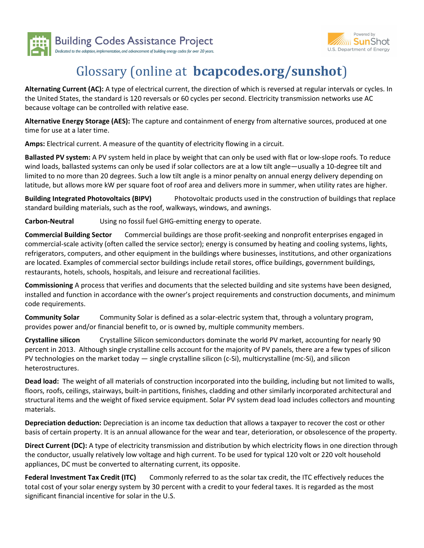



## Glossary (online at bcapcodes.org/sunshot)

Alternating Current (AC): A type of electrical current, the direction of which is reversed at regular intervals or cycles. In the United States, the standard is 120 reversals or 60 cycles per second. Electricity transmission networks use AC because voltage can be controlled with relative ease.

Alternative Energy Storage (AES): The capture and containment of energy from alternative sources, produced at one time for use at a later time.

Amps: Electrical current. A measure of the quantity of electricity flowing in a circuit.

Ballasted PV system: A PV system held in place by weight that can only be used with flat or low-slope roofs. To reduce wind loads, ballasted systems can only be used if solar collectors are at a low tilt angle—usually a 10-degree tilt and limited to no more than 20 degrees. Such a low tilt angle is a minor penalty on annual energy delivery depending on latitude, but allows more kW per square foot of roof area and delivers more in summer, when utility rates are higher.

Building Integrated Photovoltaics (BIPV) Photovoltaic products used in the construction of buildings that replace standard building materials, such as the roof, walkways, windows, and awnings.

Carbon-Neutral Using no fossil fuel GHG-emitting energy to operate.

Commercial Building Sector Commercial buildings are those profit-seeking and nonprofit enterprises engaged in commercial-scale activity (often called the service sector); energy is consumed by heating and cooling systems, lights, refrigerators, computers, and other equipment in the buildings where businesses, institutions, and other organizations are located. Examples of commercial sector buildings include retail stores, office buildings, government buildings, restaurants, hotels, schools, hospitals, and leisure and recreational facilities.

Commissioning A process that verifies and documents that the selected building and site systems have been designed, installed and function in accordance with the owner's project requirements and construction documents, and minimum code requirements.

**Community Solar** Community Solar is defined as a solar-electric system that, through a voluntary program, provides power and/or financial benefit to, or is owned by, multiple community members.

Crystalline silicon Crystalline Silicon semiconductors dominate the world PV market, accounting for nearly 90 percent in 2013. Although single crystalline cells account for the majority of PV panels, there are a few types of silicon PV technologies on the market today — single crystalline silicon (c-Si), multicrystalline (mc-Si), and silicon heterostructures.

Dead load: The weight of all materials of construction incorporated into the building, including but not limited to walls, floors, roofs, ceilings, stairways, built-in partitions, finishes, cladding and other similarly incorporated architectural and structural items and the weight of fixed service equipment. Solar PV system dead load includes collectors and mounting materials.

Depreciation deduction: Depreciation is an income tax deduction that allows a taxpayer to recover the cost or other basis of certain property. It is an annual allowance for the wear and tear, deterioration, or obsolescence of the property.

Direct Current (DC): A type of electricity transmission and distribution by which electricity flows in one direction through the conductor, usually relatively low voltage and high current. To be used for typical 120 volt or 220 volt household appliances, DC must be converted to alternating current, its opposite.

Federal Investment Tax Credit (ITC) Commonly referred to as the solar tax credit, the ITC effectively reduces the total cost of your solar energy system by 30 percent with a credit to your federal taxes. It is regarded as the most significant financial incentive for solar in the U.S.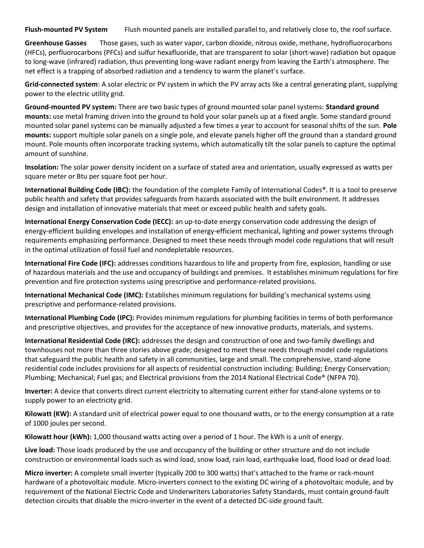Flush-mounted PV System Flush mounted panels are installed parallel to, and relatively close to, the roof surface.

Greenhouse Gasses Those gases, such as water vapor, carbon dioxide, nitrous oxide, methane, hydrofluorocarbons (HFCs), perfluorocarbons (PFCs) and sulfur hexafluoride, that are transparent to solar (short-wave) radiation but opaque to long-wave (infrared) radiation, thus preventing long-wave radiant energy from leaving the Earth's atmosphere. The net effect is a trapping of absorbed radiation and a tendency to warm the planet's surface.

Grid-connected system: A solar electric or PV system in which the PV array acts like a central generating plant, supplying power to the electric utility grid.

Ground-mounted PV system: There are two basic types of ground mounted solar panel systems: Standard ground mounts: use metal framing driven into the ground to hold your solar panels up at a fixed angle. Some standard ground mounted solar panel systems can be manually adjusted a few times a year to account for seasonal shifts of the sun. Pole mounts: support multiple solar panels on a single pole, and elevate panels higher off the ground than a standard ground mount. Pole mounts often incorporate tracking systems, which automatically tilt the solar panels to capture the optimal amount of sunshine.

Insolation: The solar power density incident on a surface of stated area and orientation, usually expressed as watts per square meter or Btu per square foot per hour.

International Building Code (IBC): the foundation of the complete Family of International Codes®. It is a tool to preserve public health and safety that provides safeguards from hazards associated with the built environment. It addresses design and installation of innovative materials that meet or exceed public health and safety goals.

International Energy Conservation Code (IECC): an up-to-date energy conservation code addressing the design of energy-efficient building envelopes and installation of energy-efficient mechanical, lighting and power systems through requirements emphasizing performance. Designed to meet these needs through model code regulations that will result in the optimal utilization of fossil fuel and nondepletable resources.

International Fire Code (IFC): addresses conditions hazardous to life and property from fire, explosion, handling or use of hazardous materials and the use and occupancy of buildings and premises. It establishes minimum regulations for fire prevention and fire protection systems using prescriptive and performance-related provisions.

International Mechanical Code (IMC): Establishes minimum regulations for building's mechanical systems using prescriptive and performance-related provisions.

International Plumbing Code (IPC): Provides minimum regulations for plumbing facilities in terms of both performance and prescriptive objectives, and provides for the acceptance of new innovative products, materials, and systems.

International Residential Code (IRC): addresses the design and construction of one and two-family dwellings and townhouses not more than three stories above grade; designed to meet these needs through model code regulations that safeguard the public health and safety in all communities, large and small. The comprehensive, stand-alone residential code includes provisions for all aspects of residential construction including: Building; Energy Conservation; Plumbing; Mechanical; Fuel gas; and Electrical provisions from the 2014 National Electrical Code® (NFPA 70).

Inverter: A device that converts direct current electricity to alternating current either for stand-alone systems or to supply power to an electricity grid.

Kilowatt (KW): A standard unit of electrical power equal to one thousand watts, or to the energy consumption at a rate of 1000 joules per second.

Kilowatt hour (kWh): 1,000 thousand watts acting over a period of 1 hour. The kWh is a unit of energy.

Live load: Those loads produced by the use and occupancy of the building or other structure and do not include construction or environmental loads such as wind load, snow load, rain load, earthquake load, flood load or dead load.

Micro inverter: A complete small inverter (typically 200 to 300 watts) that's attached to the frame or rack-mount hardware of a photovoltaic module. Micro-inverters connect to the existing DC wiring of a photovoltaic module, and by requirement of the National Electric Code and Underwriters Laboratories Safety Standards, must contain ground-fault detection circuits that disable the micro-inverter in the event of a detected DC-side ground fault.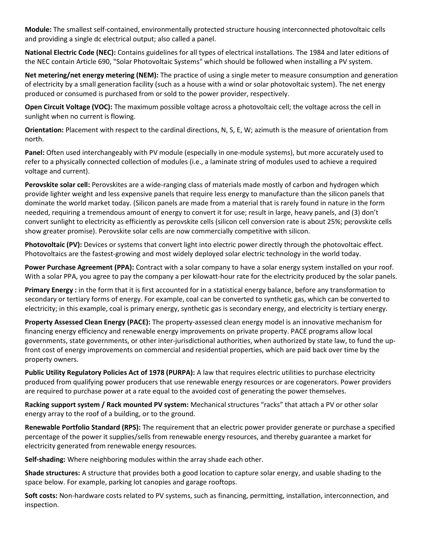Module: The smallest self-contained, environmentally protected structure housing interconnected photovoltaic cells and providing a single dc electrical output; also called a panel.

National Electric Code (NEC): Contains guidelines for all types of electrical installations. The 1984 and later editions of the NEC contain Article 690, "Solar Photovoltaic Systems" which should be followed when installing a PV system.

Net metering/net energy metering (NEM): The practice of using a single meter to measure consumption and generation of electricity by a small generation facility (such as a house with a wind or solar photovoltaic system). The net energy produced or consumed is purchased from or sold to the power provider, respectively.

Open Circuit Voltage (VOC): The maximum possible voltage across a photovoltaic cell; the voltage across the cell in sunlight when no current is flowing.

Orientation: Placement with respect to the cardinal directions, N, S, E, W; azimuth is the measure of orientation from north.

Panel: Often used interchangeably with PV module (especially in one-module systems), but more accurately used to refer to a physically connected collection of modules (i.e., a laminate string of modules used to achieve a required voltage and current).

Perovskite solar cell: Perovskites are a wide-ranging class of materials made mostly of carbon and hydrogen which provide lighter weight and less expensive panels that require less energy to manufacture than the silicon panels that dominate the world market today. (Silicon panels are made from a material that is rarely found in nature in the form needed, requiring a tremendous amount of energy to convert it for use; result in large, heavy panels, and (3) don't convert sunlight to electricity as efficiently as perovskite cells (silicon cell conversion rate is about 25%; perovskite cells show greater promise). Perovskite solar cells are now commercially competitive with silicon.

Photovoltaic (PV): Devices or systems that convert light into electric power directly through the photovoltaic effect. Photovoltaics are the fastest-growing and most widely deployed solar electric technology in the world today.

Power Purchase Agreement (PPA): Contract with a solar company to have a solar energy system installed on your roof. With a solar PPA, you agree to pay the company a per kilowatt-hour rate for the electricity produced by the solar panels.

Primary Energy : in the form that it is first accounted for in a statistical energy balance, before any transformation to secondary or tertiary forms of energy. For example, coal can be converted to synthetic gas, which can be converted to electricity; in this example, coal is primary energy, synthetic gas is secondary energy, and electricity is tertiary energy.

Property Assessed Clean Energy (PACE): The property-assessed clean energy model is an innovative mechanism for financing energy efficiency and renewable energy improvements on private property. PACE programs allow local governments, state governments, or other inter-jurisdictional authorities, when authorized by state law, to fund the upfront cost of energy improvements on commercial and residential properties, which are paid back over time by the property owners.

Public Utility Regulatory Policies Act of 1978 (PURPA): A law that requires electric utilities to purchase electricity produced from qualifying power producers that use renewable energy resources or are cogenerators. Power providers are required to purchase power at a rate equal to the avoided cost of generating the power themselves.

Racking support system / Rack mounted PV system: Mechanical structures "racks" that attach a PV or other solar energy array to the roof of a building, or to the ground.

Renewable Portfolio Standard (RPS): The requirement that an electric power provider generate or purchase a specified percentage of the power it supplies/sells from renewable energy resources, and thereby guarantee a market for electricity generated from renewable energy resources.

Self-shading: Where neighboring modules within the array shade each other.

Shade structures: A structure that provides both a good location to capture solar energy, and usable shading to the space below. For example, parking lot canopies and garage rooftops.

Soft costs: Non-hardware costs related to PV systems, such as financing, permitting, installation, interconnection, and inspection.